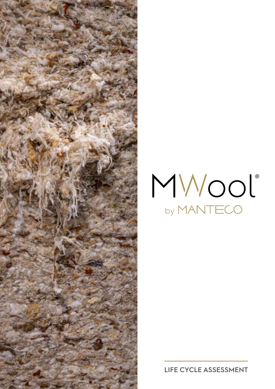



**LIFE CYCLE ASSESSMENT**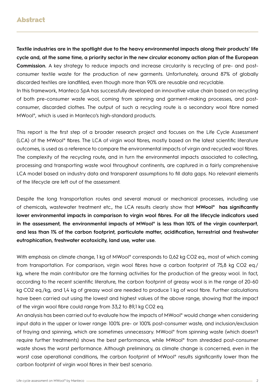# Abstract

**Textile industries are in the spotlight due to the heavy environmental impacts along their products' life cycle and, at the same time, a priority sector in the new circular economy action plan of the European Commission.** A key strategy to reduce impacts and increase circularity is recycling of pre- and postconsumer textile waste for the production of new garments. Unfortunately, around 87% of globally discarded textiles are landfilled, even though more than 90% are reusable and recyclable. In this framework, Manteco SpA has successfully developed an innovative value chain based on recycling of both pre-consumer waste wool, coming from spinning and garment-making processes, and postconsumer, discarded clothes. The output of such a recycling route is a secondary wool fibre named MWool®, which is used in Manteco's high-standard products.

This report is the first step of a broader research project and focuses on the Life Cycle Assessment (LCA) of the MWool® fibres. The LCA of virgin wool fibres, mostly based on the latest scientific literature outcomes, is used as a reference to compare the environmental impacts of virgin and recycled wool fibres. The complexity of the recycling route, and in turn the environmental impacts associated to collecting, processing and transporting waste wool throughout continents, are captured in a fairly comprehensive LCA model based on industry data and transparent assumptions to fill data gaps. No relevant elements of the lifecycle are left out of the assessment.

Despite the long transportation routes and several manual or mechanical processes, including use of chemicals, wastewater treatment etc., the LCA results clearly show that **MWool® has significantly lower environmental impacts in comparison to virgin wool fibres. For all the lifecycle indicators used in the assessment, the environmental impacts of MWool® is less than 10% of the virgin counterpart**, **and less than 1% of the carbon footprint, particulate matter, acidification, terrestrial and freshwater eutrophication, freshwater ecotoxicity, land use, water use.** 

With emphasis on climate change, 1 kg of MWool® corresponds to 0,62 kg CO2 eq., most of which coming from transportation. For comparison, virgin wool fibres have a carbon footprint of 75,8 kg CO2 eq./ kg, where the main contributor are the farming activities for the production of the greasy wool. In fact, according to the recent scientific literature, the carbon footprint of greasy wool is in the range of 20-60 kg CO2 eq./kg, and 1,4 kg of greasy wool are needed to produce 1 kg of wool fibre. Further calculations have been carried out using the lowest and highest values of the above range, showing that the impact of the virgin wool fibre could range from 33,2 to 89,1 kg CO2 eq.

An analysis has been carried out to evaluate how the impacts of MWool® would change when considering input data in the upper or lower range: 100% pre- or 100% post-consumer waste, and inclusion/exclusion of fraying and spinning, which are sometimes unnecessary. MWool® from spinning waste (which doesn't require further treatments) shows the best performance, while MWool® from shredded post-consumer waste shows the worst performance. Although preliminary, as climate change is concerned, even in the worst case operational conditions, the carbon footprint of MWool® results significantly lower than the carbon footprint of virgin wool fibres in their best scenario.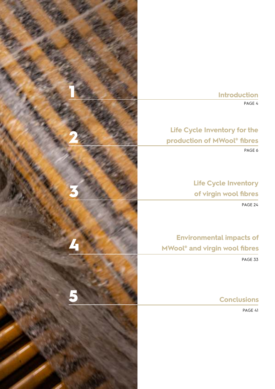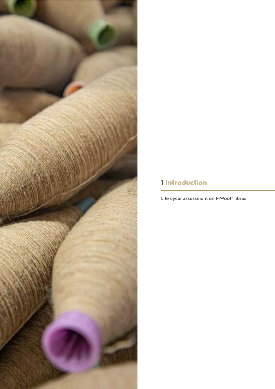# 

# 1 Introduction

**Life cycle assessment on MWool® fibres**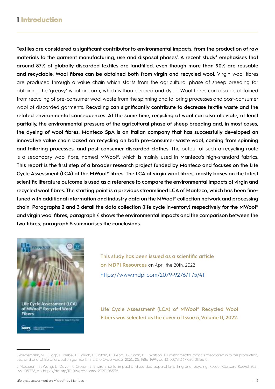# 1 Introduction

**Textiles are considered a significant contributor to environmental impacts, from the production of raw materials to the garment manufacturing, use and disposal phases<sup>1</sup> . A recent study<sup>2</sup> emphasises that around 87% of globally discarded textiles are landfilled, even though more than 90% are reusable and recyclable. Wool fibres can be obtained both from virgin and recycled wool.** Virgin wool fibres are produced through a value chain which starts from the agricultural phase of sheep breeding for obtaining the 'greasy' wool on farm, which is than cleaned and dyed. Wool fibres can also be obtained from recycling of pre-consumer wool waste from the spinning and tailoring processes and post-consumer wool of discarded garments. R**ecycling can significantly contribute to decrease textile waste and the related environmental consequences. At the same time, recycling of wool can also alleviate, at least partially, the environmental pressure of the agricultural phase of sheep breeding and, in most cases, the dyeing of wool fibres. Manteco SpA is an Italian company that has successfully developed an innovative value chain based on recycling on both pre-consumer waste wool, coming from spinning and tailoring processes, and post-consumer discarded clothes.** The output of such a recycling route is a secondary wool fibre, named MWool®, which is mainly used in Manteco's high-standard fabrics. **This report is the first step of a broader research project funded by Manteco and focuses on the Life Cycle Assessment (LCA) of the MWool® fibres. The LCA of virgin wool fibres, mostly bases on the latest scientific literature outcome is used as a reference to compare the environmental impacts of virgin and recycled wool fibres. The starting point is a previous streamlined LCA of Manteco, which has been finetuned with additional information and industry data on the MWool® collection network and processing chain. Paragraphs 2 and 3 detail the data collection (life cycle inventory) respectively for the MWool® and virgin wool fibres, paragraph 4 shows the environmental impacts and the comparison between the two fibres, paragraph 5 summarises the conclusions.**



**This study has been issued as a scientific article on MDPI Resources** on April the 20th, 2022 <https://www.mdpi.com/2079-9276/11/5/41>

**Life Cycle Assessment (LCA) of MWool® Recycled Wool Fibers was selected as the cover of Issue 5, Volume 11, 2022.**

<sup>1</sup> Wiedemann, S.G.; Biggs, L.; Nebel, B.; Bauch, K.; Laitala, K.; Klepp, I.G.; Swan, P.G.; Watson, K. Environmental impacts associated with the production, use, and end-of-life of a woollen garment. Int. J. Life Cycle Assess. 2020, 25, 1486–1499, doi:10.1007/s11367-020-01766-0.

<sup>2</sup> Moazzem, S.; Wang, L.; Daver, F.; Crossin, E. Environmental impact of discarded apparel landfilling and recycling. Resour. Conserv. Recycl. 2021, 166, 105338, doi:https://doi.org/10.1016/j.resconrec.2020.105338.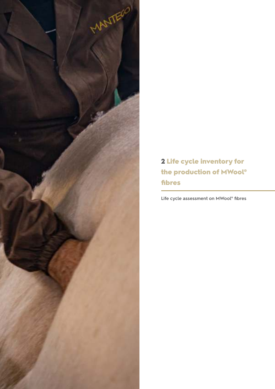

2 Life cycle inventory for the production of MWool® fibres

**Life cycle assessment on MWool® fibres**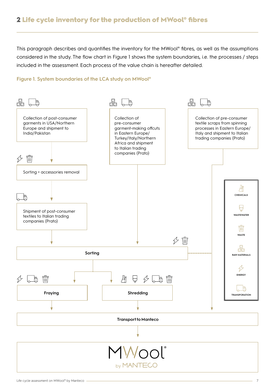# 2 Life cycle inventory for the production of MWool® fibres

This paragraph describes and quantifies the inventory for the MWool® fibres, as well as the assumptions considered in the study. The flow chart in Figure 1 shows the system boundaries, i.e. the processes / steps included in the assessment. Each process of the value chain is hereafter detailed.

### **Figure 1. System boundaries of the LCA study on MWool®**

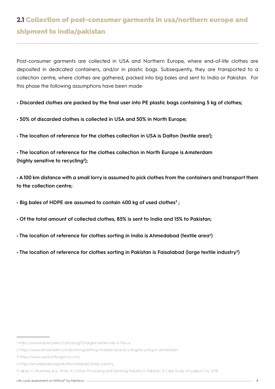# 2.1 Collection of post-consumer garments in usa/northern europe and shipment to india/pakistan

Post-consumer garments are collected in USA and Northern Europe, where end-of-life clothes are deposited in dedicated containers, and/or in plastic bags. Subsequently, they are transported to a collection centre, where clothes are gathered, packed into big bales and sent to India or Pakistan. For this phase the following assumptions have been made:

**• Discarded clothes are packed by the final user into PE plastic bags containing 5 kg of clothes;**

**• 50% of discarded clothes is collected in USA and 50% in North Europe;**

**• The location of reference for the clothes collection in USA is Dalton (textile area<sup>1</sup> );**

**• The location of reference for the clothes collection in North Europe is Amsterdam (highly sensitive to recycling<sup>2</sup> );**

**• A 100 km distance with a small lorry is assumed to pick clothes from the containers and transport them to the collection centre;**

**• Big bales of HDPE are assumed to contain 400 kg of used clothes<sup>3</sup> ;**

- **Of the total amount of collected clothes, 85% is sent to India and 15% to Pakistan;**
- **The location of reference for clothes sorting in India is Ahmedabad (textile area<sup>4</sup> )**

**• The location of reference for clothes sorting in Pakistan is Faisalabad (large textile industry<sup>5</sup> )**

<sup>1</sup> https://www.industryselect.com/blog/10-largest-textile-mills-in-the-us

<sup>2</sup> https://www.iamsterdam.com/en/living/settling-in/waste-and-recycling/recycling-in-amsterdam

<sup>3</sup> https://www.usedclothingstock.com/

<sup>4</sup> https://en.wikipedia.org/wiki/Ahmedabad\_textile\_industry

<sup>5</sup> Iqbal, H.; Mushtaq, A.Q.; Khan, R. Cotton Processing and Spinning Industry in Pakistan: A Case Study of Lyallpur City. 2018.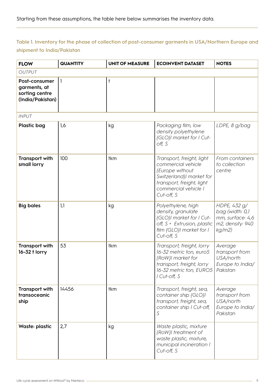# **Table 1. Inventory for the phase of collection of post-consumer garments in USA/Northern Europe and shipment to India/Pakistan**

| <b>FLOW</b>                                                         | <b>QUANTITY</b> | <b>UNIT OF MEASURE</b> | <b>ECOINVENT DATASET</b>                                                                                                                                          | <b>NOTES</b>                                                                      |
|---------------------------------------------------------------------|-----------------|------------------------|-------------------------------------------------------------------------------------------------------------------------------------------------------------------|-----------------------------------------------------------------------------------|
| <b>OUTPUT</b>                                                       |                 |                        |                                                                                                                                                                   |                                                                                   |
| Post-consumer<br>garments, at<br>sorting centre<br>(India/Pakistan) | 1               | t                      |                                                                                                                                                                   |                                                                                   |
| <b>INPUT</b>                                                        |                 |                        |                                                                                                                                                                   |                                                                                   |
| <b>Plastic bag</b>                                                  | 1,6             | kg                     | Packaging film, low<br>density polyethylene<br>{GLO}  market for   Cut-<br>off, S                                                                                 | LDPE, 8 g/bag                                                                     |
| <b>Transport with</b><br>small lorry                                | 100             | tkm                    | Transport, freight, light<br>commercial vehicle<br>{Europe without<br>Switzerland}  market for<br>transport, freight, light<br>commercial vehicle  <br>Cut-off, S | From containers<br>to collection<br>centre                                        |
| <b>Big bales</b>                                                    | 1,1             | kg                     | Polyethylene, high<br>density, granulate<br>{GLO}  market for   Cut-<br>off, S + Extrusion, plastic<br>film {GLO}  market for  <br>Cut-off, S                     | HDPE, 432 g/<br>bag (width: 0,1<br>mm, surface: 4,6<br>m2, density: 940<br>kg/m2) |
| <b>Transport with</b><br>16-32 t lorry                              | 53              | tkm                    | Transport, freight, lorry<br>16-32 metric ton, euro5<br>{RoW}I market for<br>transport, freight, lorry<br>16-32 metric ton, EURO5<br>I Cut-off, S                 | Average<br>transport from<br>USA/north<br>Europe to India/<br>Pakistan            |
| <b>Transport with</b><br>transoceanic<br>ship                       | 14456           | tkm                    | Transport, freight, sea,<br>container ship {GLO}I<br>transport, freight, sea,<br>container ship I Cut-off,<br>S                                                   | Average<br>transport from<br>USA/north<br>Europe to India/<br>Pakistan            |
| Waste: plastic                                                      | 2,7             | kg                     | Waste plastic, mixture<br>{RoW}I treatment of<br>waste plastic, mixture,<br>municipal incineration  <br>Cut-off, S                                                |                                                                                   |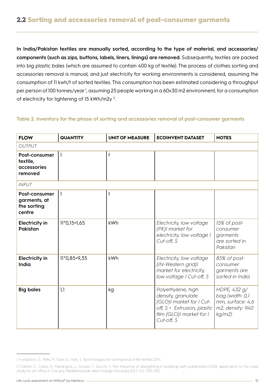**In India/Pakistan textiles are manually sorted, according to the type of material, and accessories/ components (such as zips, buttons, labels, liners, linings) are removed.** Subsequently, textiles are packed into big plastic bales (which are assumed to contain 400 kg of textile). The process of clothes sorting and accessories removal is manual, and just electricity for working environments is considered, assuming the consumption of 11 kwh/t of sorted textiles. This consumption has been estimated considering a throughput per person of 100 tonnes/year<sup>1</sup>, assuming 25 people working in a 60x30 m2 environment, for a consumption of electricity for lightening of 15 kWh/m2y<sup>2</sup>.

# **Table 2. Inventory for the phase of sorting and accessories removal of post-consumer garments**

| <b>FLOW</b>                                            | <b>QUANTITY</b> | <b>UNIT OF MEASURE</b> | <b>ECOINVENT DATASET</b>                                                                                                                      | <b>NOTES</b>                                                                      |
|--------------------------------------------------------|-----------------|------------------------|-----------------------------------------------------------------------------------------------------------------------------------------------|-----------------------------------------------------------------------------------|
| <b>OUTPUT</b>                                          |                 |                        |                                                                                                                                               |                                                                                   |
| Post-consumer<br>textile,<br>accessories<br>removed    | 1               | $\ddagger$             |                                                                                                                                               |                                                                                   |
| <b>INPUT</b>                                           |                 |                        |                                                                                                                                               |                                                                                   |
| Post-consumer<br>garments, at<br>the sorting<br>centre | $\mathbf{1}$    | $\ddagger$             |                                                                                                                                               |                                                                                   |
| <b>Electricity in</b><br>Pakistan                      | $11*0,15=1,65$  | kWh                    | Electricity, low voltage<br>{PK}I market for<br>electricity, low voltage I<br>Cut-off, S                                                      | 15% of post-<br>consumer<br>garments<br>are sorted in<br>Pakistan                 |
| <b>Electricity in</b><br>India                         | $11*0,85=9,35$  | kWh                    | Electricity, low voltage<br>{IN-Western grid} <br>market for electricity,<br>low voltage I Cut-off, S                                         | 85% of post-<br>consumer<br>garments are<br>sorted in India                       |
| <b>Big bales</b>                                       | 1,1             | kg                     | Polyethylene, high<br>density, granulate<br>{GLO}I market for I Cut-<br>off, S + Extrusion, plastic<br>film {GLO}  market for  <br>Cut-off, S | HDPE, 432 g/<br>bag (width: 0,1<br>mm, surface: 4,6<br>m2, density: 940<br>kg/m2) |

<sup>1</sup> Humpston, G.; Willis, P.; Tyler, D.; Han, S. Technologies for sorting end of life textiles 2014.

<sup>2</sup> Carletti, C.; Cellai, G.; Pierangioli, L.; Sciurpi, F.; Secchi, S. The influence of daylighting in buildings with parameters nZEB: application to the case study for an office in Tuscany Mediterranean area. Energy Procedia 2017, 140, 339–350.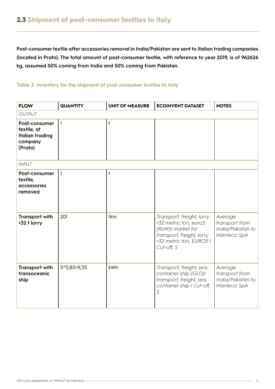**Post-consumer textile after accessories removal in India/Pakistan are sent to Italian trading companies (located in Prato). The total amount of post-consumer textile, with reference to year 2019, is of 962626 kg, assumed 50% coming from India and 50% coming from Pakistan.** 

# **Table 3. Inventory for the shipment of post-consumer textiles to Italy**

| <b>FLOW</b>                                                                  | <b>QUANTITY</b> | <b>UNIT OF MEASURE</b> | <b>ECOINVENT DATASET</b>                                                                                                                      | <b>NOTES</b>                                                  |
|------------------------------------------------------------------------------|-----------------|------------------------|-----------------------------------------------------------------------------------------------------------------------------------------------|---------------------------------------------------------------|
| <b>OUTPUT</b>                                                                |                 |                        |                                                                                                                                               |                                                               |
| Post-consumer<br>textile, at<br><b>Italian trading</b><br>company<br>(Prato) | $\mathbf{1}$    | $\ddagger$             |                                                                                                                                               |                                                               |
| <b>INPUT</b>                                                                 |                 |                        |                                                                                                                                               |                                                               |
| Post-consumer<br>textile,<br>accessories<br>removed                          | $\mathbf{1}$    | $\ddagger$             |                                                                                                                                               |                                                               |
| <b>Transport with</b><br>>32 t lorry                                         | 201             | tkm                    | Transport, freight, lorry<br>>32 metric ton, euro5<br>{RoW}  market for<br>transport, freight, lorry<br>>32 metric ton, EURO5 I<br>Cut-off, S | Average<br>transport from<br>India/Pakistan to<br>Manteco SpA |
| <b>Transport with</b><br>transoceanic<br>ship                                | $11*0,85=9,35$  | kWh                    | Transport, freight, sea,<br>container ship {GLO} <br>transport, freight, sea,<br>container ship I Cut-off,<br>S                               | Average<br>transport from<br>India/Pakistan to<br>Manteco SpA |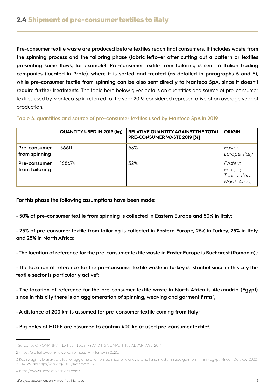**Pre-consumer textile waste are produced before textiles reach final consumers. It includes waste from the spinning process and the tailoring phase (fabric leftover after cutting out a pattern or textiles presenting some flaws, for example). Pre-consumer textile from tailoring is sent to Italian trading companies (located in Prato), where it is sorted and treated (as detailed in paragraphs 5 and 6), while pre-consumer textile from spinning can be also sent directly to Manteco SpA, since it doesn't require further treatments.** The table here below gives details on quantities and source of pre-consumer textiles used by Manteco SpA, referred to the year 2019, considered representative of an average year of production.

### **Table 4. quantities and source of pre-consumer textiles used by Manteco SpA in 2019**

|                                | <b>QUANTITY USED IN 2019 (kg)</b> | <b>RELATIVE QUANTITY AGAINST THE TOTAL</b><br><b>PRE-CONSUMER WASTE 2019 [%]</b> | <b>ORIGIN</b>                                        |
|--------------------------------|-----------------------------------|----------------------------------------------------------------------------------|------------------------------------------------------|
| Pre-consumer<br>from spinning  | 366111                            | 68%                                                                              | Eastern<br>Europe, Italy                             |
| Pre-consumer<br>from tailoring | 168674                            | 32%                                                                              | Eastern<br>Europe,<br>Turkey, Italy,<br>North Africa |

**For this phase the following assumptions have been made:**

**• 50% of pre-consumer textile from spinning is collected in Eastern Europe and 50% in Italy;**

**• 25% of pre-consumer textile from tailoring is collected in Eastern Europe, 25% in Turkey, 25% in Italy and 25% in North Africa;**

**• The location of reference for the pre-consumer textile waste in Easter Europe is Bucharest (Romania)<sup>1</sup> ;**

**• The location of reference for the pre-consumer textile waste in Turkey is Istanbul since in this city the textile sector is particularly active<sup>2</sup> ;**

**• The location of reference for the pre-consumer textile waste in North Africa is Alexandria (Egypt) since in this city there is an agglomeration of spinning, weaving and garment firms<sup>3</sup> ;**

**• A distance of 200 km is assumed for pre-consumer textile coming from Italy;**

**• Big bales of HDPE are assumed to contain 400 kg of used pre-consumer textile<sup>4</sup> .**

<sup>1</sup> Şerbănel, C. ROMANIAN TEXTILE INDUSTRY AND ITS COMPETITIVE ADVANTAGE. 2014.

<sup>2</sup> https://eraiturkey.com/news/textile-industry-in-turkey-in-2020/

<sup>3</sup> Kashiwagi, K.; Iwasaki, E. Effect of agglomeration on technical efficiency of small and medium-sized garment firms in Egypt. African Dev. Rev. 2020, 32, 14–26, doi:https://doi.org/10.1111/1467-8268.12411.

<sup>4</sup> https://www.usedclothingstock.com/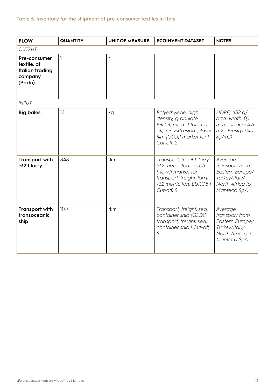| <b>FLOW</b>                                                                 | <b>QUANTITY</b> | <b>UNIT OF MEASURE</b> | <b>ECOINVENT DATASET</b>                                                                                                                      | <b>NOTES</b>                                                                                    |
|-----------------------------------------------------------------------------|-----------------|------------------------|-----------------------------------------------------------------------------------------------------------------------------------------------|-------------------------------------------------------------------------------------------------|
| <b>OUTPUT</b>                                                               |                 |                        |                                                                                                                                               |                                                                                                 |
| Pre-consumer<br>textile, at<br><b>Italian trading</b><br>company<br>(Prato) | -1              | $\ddagger$             |                                                                                                                                               |                                                                                                 |
| <b>INPUT</b>                                                                |                 |                        |                                                                                                                                               |                                                                                                 |
| <b>Big bales</b>                                                            | 1,1             | kg                     | Polyethylene, high<br>density, granulate<br>{GLO}I market for I Cut-<br>off, S + Extrusion, plastic<br>film {GLO}  market for  <br>Cut-off, S | HDPE, 432 g/<br>bag (width: 0,1<br>mm, surface: 4,6<br>m2, density: 940<br>kg/m2)               |
| <b>Transport with</b><br>>32 t lorry                                        | 848             | tkm                    | Transport, freight, lorry<br>>32 metric ton, euro5<br>{RoW}  market for<br>transport, freight, lorry<br>>32 metric ton, EURO5 I<br>Cut-off, S | Average<br>transport from<br>Eastern Europe/<br>Turkey/Italy/<br>North Africa to<br>Manteco SpA |
| <b>Transport with</b><br>transoceanic<br>ship                               | 1144            | tkm                    | Transport, freight, sea,<br>container ship {GLO} <br>transport, freight, sea,<br>container ship I Cut-off,<br>S                               | Average<br>transport from<br>Eastern Europe/<br>Turkey/Italy/<br>North Africa to<br>Manteco SpA |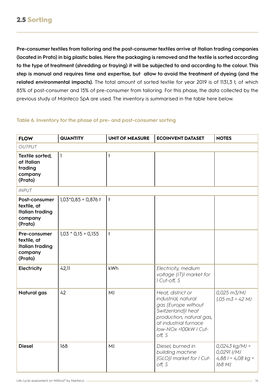**Pre-consumer textiles from tailoring and the post-consumer textiles arrive at Italian trading companies (located in Prato) in big plastic bales. Here the packaging is removed and the textile is sorted according to the type of treatment (shredding or fraying) it will be subjected to and according to the colour. This step is manual and requires time and expertise, but allow to avoid the treatment of dyeing (and the related environmental impacts).** The total amount of sorted textile for year 2019 is of 1131,3 t, of which 85% of post-consumer and 15% of pre-consumer from tailoring. For this phase, the data collected by the previous study of Manteco SpA are used. The inventory is summarised in the table here below.

# **Table 6. Inventory for the phase of pre- and post-consumer sorting**

| <b>FLOW</b>                                                                  | <b>QUANTITY</b>       | <b>UNIT OF MEASURE</b> | <b>ECOINVENT DATASET</b>                                                                                                                                                      | <b>NOTES</b>                                                     |
|------------------------------------------------------------------------------|-----------------------|------------------------|-------------------------------------------------------------------------------------------------------------------------------------------------------------------------------|------------------------------------------------------------------|
| <b>OUTPUT</b>                                                                |                       |                        |                                                                                                                                                                               |                                                                  |
| Textile sorted,<br>at Italian<br>trading<br>company<br>(Prato)               | $\mathbf{1}$          | $\ddagger$             |                                                                                                                                                                               |                                                                  |
| <b>INPUT</b>                                                                 |                       |                        |                                                                                                                                                                               |                                                                  |
| Post-consumer<br>textile, at<br><b>Italian trading</b><br>company<br>(Prato) | $1,03*0,85 = 0,876$ t | $\vert$ t              |                                                                                                                                                                               |                                                                  |
| Pre-consumer<br>textile, at<br><b>Italian trading</b><br>company<br>(Prato)  | $1,03 * 0,15 = 0,155$ | $\ddagger$             |                                                                                                                                                                               |                                                                  |
| Electricity                                                                  | 42,11                 | kWh                    | Electricity, medium<br>voltage {IT}I market for<br>I Cut-off, S                                                                                                               |                                                                  |
| <b>Natural gas</b>                                                           | 42                    | MJ                     | Heat, district or<br>industrial, natural<br>gas {Europe without<br>Switzerland}l heat<br>production, natural gas,<br>at industrial furnace<br>low-NOx >100kW   Cut-<br>off, S | 0,025 m3/MJ<br>$1,05 \text{ m}$ 3 = 42 MJ                        |
| <b>Diesel</b>                                                                | 168                   | MJ                     | Diesel, burned in<br>building machine<br>{GLO}  market for   Cut-<br>off, S                                                                                                   | $0,0243$ kg/MJ =<br>0,0291 I/MJ<br>$4,881 = 4,08 kg =$<br>168 MJ |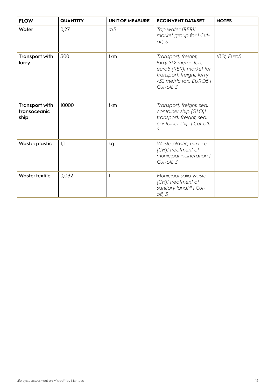| <b>FLOW</b>                                   | <b>QUANTITY</b> | <b>UNIT OF MEASURE</b> | <b>ECOINVENT DATASET</b>                                                                                                                      | <b>NOTES</b> |
|-----------------------------------------------|-----------------|------------------------|-----------------------------------------------------------------------------------------------------------------------------------------------|--------------|
| Water                                         | 0,27            | m <sub>3</sub>         | Tap water {RER} <br>market group for I Cut-<br>off, S                                                                                         |              |
| <b>Transport with</b><br>lorry                | 300             | tkm                    | Transport, freight,<br>lorry >32 metric ton,<br>euro5 {RER}I market for<br>transport, freight, lorry<br>>32 metric ton, EURO5 I<br>Cut-off, S | >32t, Euro5  |
| <b>Transport with</b><br>transoceanic<br>ship | 10000           | tkm                    | Transport, freight, sea,<br>container ship {GLO} <br>transport, freight, sea,<br>container ship I Cut-off,<br>S                               |              |
| <b>Waste: plastic</b>                         | 1,1             | kg                     | Waste plastic, mixture<br>{CH}  treatment of,<br>municipal incineration I<br>Cut-off, S                                                       |              |
| Waste: textile                                | 0,032           |                        | Municipal solid waste<br>{CH}I treatment of,<br>sanitary landfill   Cut-<br>off, S                                                            |              |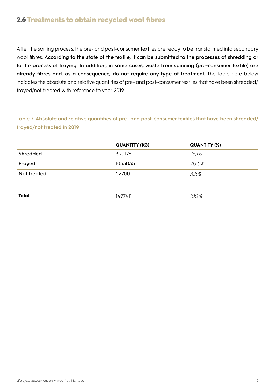# 2.6 Treatments to obtain recycled wool fibres

After the sorting process, the pre- and post-consumer textiles are ready to be transformed into secondary wool fibres. **According to the state of the textile, it can be submitted to the processes of shredding or to the process of fraying. In addition, in some cases, waste from spinning (pre-consumer textile) are already fibres and, as a consequence, do not require any type of treatment.** The table here below indicates the absolute and relative quantities of pre- and post-consumer textiles that have been shredded/ frayed/not treated with reference to year 2019.

**Table 7. Absolute and relative quantities of pre- and post-consumer textiles that have been shredded/ frayed/not treated in 2019**

|              | <b>QUANTITY (KG)</b> | <b>QUANTITY (%)</b> |
|--------------|----------------------|---------------------|
| Shredded     | 390176               | 26,1%               |
| Frayed       | 1055035              | 70,5%               |
| Not treated  | 52200                | 3,5%                |
|              |                      |                     |
| <b>Total</b> | 1497411              | 100%                |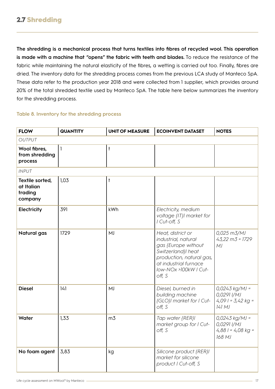**The shredding is a mechanical process that turns textiles into fibres of recycled wool. This operation is made with a machine that "opens" the fabric with teeth and blades.** To reduce the resistance of the fabric while maintaining the natural elasticity of the fibres, a wetting is carried out too. Finally, fibres are dried. The inventory data for the shredding process comes from the previous LCA study of Manteco SpA. These data refer to the production year 2018 and were collected from 1 supplier, which provides around 20% of the total shredded textile used by Manteco SpA. The table here below summarizes the inventory for the shredding process.

# **Table 8. Inventory for the shredding process**

| <b>FLOW</b>                                         | <b>QUANTITY</b> | <b>UNIT OF MEASURE</b> | <b>ECOINVENT DATASET</b>                                                                                                                                                      | <b>NOTES</b>                                                     |
|-----------------------------------------------------|-----------------|------------------------|-------------------------------------------------------------------------------------------------------------------------------------------------------------------------------|------------------------------------------------------------------|
| OUTPUT                                              |                 |                        |                                                                                                                                                                               |                                                                  |
| Wool fibres,<br>from shredding<br>process           | 1               | $\ddagger$             |                                                                                                                                                                               |                                                                  |
| <b>INPUT</b>                                        |                 |                        |                                                                                                                                                                               |                                                                  |
| Textile sorted,<br>at Italian<br>trading<br>company | 1,03            | $\ddagger$             |                                                                                                                                                                               |                                                                  |
| Electricity                                         | 391             | kWh                    | Electricity, medium<br>voltage {IT}I market for<br>I Cut-off, S                                                                                                               |                                                                  |
| <b>Natural gas</b>                                  | 1729            | MJ                     | Heat, district or<br>industrial, natural<br>gas {Europe without<br>Switzerland}l heat<br>production, natural gas,<br>at industrial furnace<br>Iow-NOx >100kW   Cut-<br>off, S | 0,025 m3/MJ<br>$43,22 \text{ m}3 = 1729$<br>MJ                   |
| <b>Diesel</b>                                       | 141             | MJ                     | Diesel, burned in<br>building machine<br>{GLO}I market for I Cut-<br>off, S                                                                                                   | $0,0243$ kg/MJ =<br>0,0291 I/MJ<br>$4,091 = 3,42 kg =$<br>141 MJ |
| Water                                               | 1,33            | m <sub>3</sub>         | Tap water {RER} <br>market group for I Cut-<br>off, S                                                                                                                         | $0,0243$ kg/MJ =<br>0,0291 I/MJ<br>$4,881 = 4,08 kg =$<br>168 MJ |
| No foam agent                                       | 3,83            | kg                     | Silicone product {RER} <br>market for silicone<br>product I Cut-off, S                                                                                                        |                                                                  |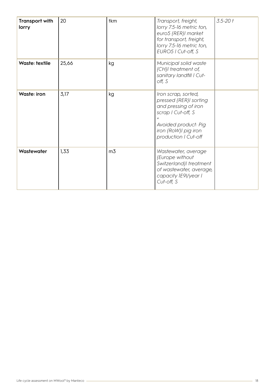| <b>Transport with</b><br>lorry | 20    | tkm            | Transport, freight,<br>lorry 7.5-16 metric ton,<br>euro5 {RER}  market<br>for transport, freight,<br>lorry 7.5-16 metric ton,<br>EURO5   Cut-off, S                 | $3.5 - 20t$ |
|--------------------------------|-------|----------------|---------------------------------------------------------------------------------------------------------------------------------------------------------------------|-------------|
| Waste: textile                 | 25,66 | kg             | Municipal solid waste<br>{CH}I treatment of,<br>sanitary landfill   Cut-<br>off, S                                                                                  |             |
| Waste: iron                    | 3,17  | kg             | Iron scrap, sorted,<br>pressed {RER}I sorting<br>and pressing of iron<br>scrap I Cut-off, S<br>Avoided product: Pig<br>iron {RoW}  pig iron<br>production I Cut-off |             |
| Wastewater                     | 1,33  | m <sub>3</sub> | Wastewater, average<br>{Europe without<br>Switzerland}I treatment<br>of wastewater, average,<br>capacity 1E9I/year I<br>Cut-off, S                                  |             |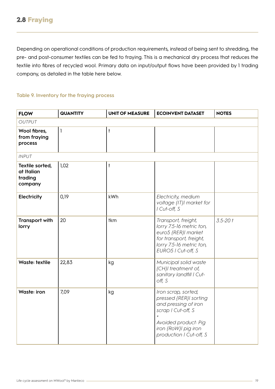Depending on operational conditions of production requirements, instead of being sent to shredding, the pre- and post-consumer textiles can be fed to fraying. This is a mechanical dry process that reduces the textile into fibres of recycled wool. Primary data on input/output flows have been provided by 1 trading company, as detailed in the table here below.

### **Table 9. Inventory for the fraying process**

| <b>FLOW</b>                                         | <b>QUANTITY</b> | <b>UNIT OF MEASURE</b> | <b>ECOINVENT DATASET</b>                                                                                                                                                                 | <b>NOTES</b> |
|-----------------------------------------------------|-----------------|------------------------|------------------------------------------------------------------------------------------------------------------------------------------------------------------------------------------|--------------|
| <b>OUTPUT</b>                                       |                 |                        |                                                                                                                                                                                          |              |
| Wool fibres,<br>from fraying<br>process             | $\mathbf{I}$    | $\ddagger$             |                                                                                                                                                                                          |              |
| <b>INPUT</b>                                        |                 |                        |                                                                                                                                                                                          |              |
| Textile sorted,<br>at Italian<br>trading<br>company | 1,02            | $\ddagger$             |                                                                                                                                                                                          |              |
| Electricity                                         | 0,19            | kWh                    | Electricity, medium<br>voltage {IT}I market for<br>I Cut-off, S                                                                                                                          |              |
| <b>Transport with</b><br>lorry                      | 20              | tkm                    | Transport, freight,<br>lorry 7.5-16 metric ton,<br>euro5 {RER}  market<br>for transport, freight,<br>lorry 7.5-16 metric ton,<br>EURO5   Cut-off, S                                      | $3.5 - 20t$  |
| Waste: textile                                      | 22,83           | kg                     | Municipal solid waste<br>{CH}I treatment of,<br>sanitary landfill   Cut-<br>off, S                                                                                                       |              |
| <b>Waste: iron</b>                                  | 7,09            | kg                     | Iron scrap, sorted,<br>pressed {RER}  sorting<br>and pressing of iron<br>scrap   Cut-off, S<br>$\overline{+}$<br>Avoided product: Pig<br>iron {RoW}  pig iron<br>production I Cut-off, S |              |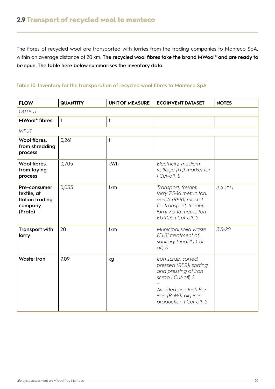The fibres of recycled wool are transported with lorries from the trading companies to Manteco SpA, within an average distance of 20 km. **The recycled wool fibres take the brand MWool® and are ready to be spun. The table here below summarises the inventory data.**

# **Table 10. Inventory for the transporation of recycled wool fibres to Manteco SpA**

| <b>FLOW</b>                                                                 | <b>QUANTITY</b> | <b>UNIT OF MEASURE</b> | <b>ECOINVENT DATASET</b>                                                                                                                                               | <b>NOTES</b> |
|-----------------------------------------------------------------------------|-----------------|------------------------|------------------------------------------------------------------------------------------------------------------------------------------------------------------------|--------------|
| <b>OUTPUT</b>                                                               |                 |                        |                                                                                                                                                                        |              |
| MWool <sup>®</sup> fibres                                                   | $\mathbf{1}$    | $\ddagger$             |                                                                                                                                                                        |              |
| <b>INPUT</b>                                                                |                 |                        |                                                                                                                                                                        |              |
| Wool fibres,<br>from shredding<br>process                                   | 0,261           | $\ddagger$             |                                                                                                                                                                        |              |
| Wool fibres,<br>from faying<br>process                                      | 0,705           | kWh                    | Electricity, medium<br>voltage {IT}I market for<br>I Cut-off, S                                                                                                        |              |
| Pre-consumer<br>textile, at<br><b>Italian trading</b><br>company<br>(Prato) | 0,035           | tkm                    | Transport, freight,<br>lorry 7.5-16 metric ton,<br>euro5 {RER}  market<br>for transport, freight,<br>lorry 7.5-16 metric ton,<br>EURO5   Cut-off, S                    | $3.5 - 20t$  |
| <b>Transport with</b><br>lorry                                              | 20              | tkm                    | Municipal solid waste<br>{CH}I treatment of,<br>sanitary landfill   Cut-<br>off, S                                                                                     | $3.5 - 20$   |
| <b>Waste: iron</b>                                                          | 7,09            | kg                     | Iron scrap, sorted,<br>pressed {RER}  sorting<br>and pressing of iron<br>scrap   Cut-off, S<br>Avoided product: Pig<br>iron {RoW}  pig iron<br>production I Cut-off, S |              |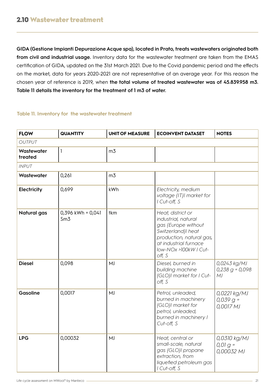**GIDA (Gestione Impianti Depurazione Acque spa), located in Prato, treats wastewaters originated both from civil and industrial usage.** Inventory data for the wastewater treatment are taken from the EMAS certification of GIDA, updated on the 31st March 2021. Due to the Covid pandemic period and the effects on the market, data for years 2020-2021 are not representative of an average year. For this reason the chosen year of reference is 2019, when **the total volume of treated wastewater was of 45.839.958 m3. Table 11 details the inventory for the treatment of 1 m3 of water.**

# **Table 11. Inventory for the wastewater treatment**

| <b>FLOW</b>           | <b>QUANTITY</b>          | <b>UNIT OF MEASURE</b> | <b>ECOINVENT DATASET</b>                                                                                                                                                      | <b>NOTES</b>                             |
|-----------------------|--------------------------|------------------------|-------------------------------------------------------------------------------------------------------------------------------------------------------------------------------|------------------------------------------|
| <b>OUTPUT</b>         |                          |                        |                                                                                                                                                                               |                                          |
| Wastewater<br>treated | 1                        | m <sub>3</sub>         |                                                                                                                                                                               |                                          |
| <b>INPUT</b>          |                          |                        |                                                                                                                                                                               |                                          |
| Wastewater            | 0,261                    | m <sub>3</sub>         |                                                                                                                                                                               |                                          |
| Electricity           | 0,699                    | kWh                    | Electricity, medium<br>voltage {IT}I market for<br>I Cut-off, S                                                                                                               |                                          |
| Natural gas           | 0,396 kWh = 0,041<br>Sm3 | tkm                    | Heat, district or<br>industrial, natural<br>gas {Europe without<br>Switzerland}l heat<br>production, natural gas,<br>at industrial furnace<br>low-NOx >100kW   Cut-<br>off, S |                                          |
| <b>Diesel</b>         | 0,098                    | MJ                     | Diesel, burned in<br>building machine<br>{GLO}  market for   Cut-<br>off, S                                                                                                   | 0,0243 kg/MJ<br>$0,238$ g = 0,098<br>MJ  |
| Gasoline              | 0,0017                   | MJ                     | Petrol, unleaded,<br>burned in machinery<br>{GLO}I market for<br>petrol, unleaded,<br>burned in machinery I<br>Cut-off, S                                                     | 0,0221 kg/MJ<br>$0,039 g =$<br>0,0017 MJ |
| <b>LPG</b>            | 0,00032                  | MJ                     | Heat, central or<br>small-scale, natural<br>gas {GLO}  propane<br>extraction, from<br>liquefied petroleum gas<br>I Cut-off, S                                                 | 0,0310 kg/MJ<br>$0,01 g =$<br>0,00032 MJ |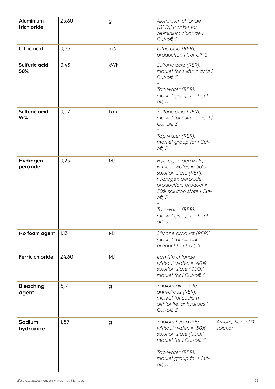| Aluminium<br>trichloride  | 25,60 | g              | Aluminium chloride<br>{GLO}I market for<br>aluminium chloride l<br>Cut-off, S                                                                                                                                              |                             |
|---------------------------|-------|----------------|----------------------------------------------------------------------------------------------------------------------------------------------------------------------------------------------------------------------------|-----------------------------|
| <b>Citric acid</b>        | 0,33  | m <sub>3</sub> | Citric acid {RER} <br>production I Cut-off, S                                                                                                                                                                              |                             |
| Sulfuric acid<br>50%      | 0,43  | kWh            | Sulfuric acid {RER} <br>market for sulfuric acid I<br>Cut-off, S<br>Tap water {RER} <br>market group for I Cut-<br>off, S                                                                                                  |                             |
| Sulfuric acid<br>96%      | 0,07  | tkm            | Sulfuric acid {RER} <br>market for sulfuric acid I<br>Cut-off, S<br>Tap water {RER} <br>market group for I Cut-<br>off, S                                                                                                  |                             |
| Hydrogen<br>peroxide      | 0,25  | MJ             | Hydrogen peroxide,<br>without water, in 50%<br>solution state {RER} <br>hydrogen peroxide<br>production, product in<br>50% solution state I Cut-<br>off, S<br>Tap water {RER} <br>market group for I Cut-<br>$\circ$ ff, S |                             |
| No foam agent             | 1,13  | MJ             | Silicone product {RER} <br>market for silicone<br>product I Cut-off, S                                                                                                                                                     |                             |
| Ferric chloride           | 24,60 | MJ             | Iron (III) chloride,<br>without water, in 40%<br>solution state {GLO} <br>market for I Cut-off, S                                                                                                                          |                             |
| <b>Bleaching</b><br>agent | 5,71  | g              | Sodium dithionite,<br>anhydrous {RER} <br>market for sodium<br>dithionite, anhydrous I<br>Cut-off, S                                                                                                                       |                             |
| Sodium<br>hydroxide       | 1,57  | g              | Sodium hydroxide,<br>without water, in 50%<br>solution state {GLO} <br>market for I Cut-off, S<br>Tap water {RER} <br>market group for I Cut-<br>off, S                                                                    | Assumption: 50%<br>solution |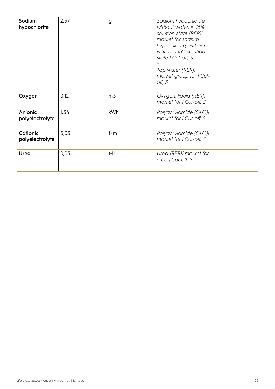| Sodium<br>hypochlorite            | 2,37 | $\mathsf{g}$   | Sodium hypochlorite,<br>without water, in 15%<br>solution state {RER} <br>market for sodium<br>hypochlorite, without<br>water, in 15% solution<br>state I Cut-off, S<br>Tap water {RER} <br>market group for I Cut-<br>off, S |  |
|-----------------------------------|------|----------------|-------------------------------------------------------------------------------------------------------------------------------------------------------------------------------------------------------------------------------|--|
| Oxygen                            | 0,12 | m <sub>3</sub> | Oxygen, liquid {RER} <br>market for I Cut-off, S                                                                                                                                                                              |  |
| <b>Anionic</b><br>polyelectrolyte | 1,34 | kWh            | Polyacrylamide {GLO} <br>market for I Cut-off, S                                                                                                                                                                              |  |
| Cationic<br>polyelectrolyte       | 5,03 | tkm            | Polyacrylamide {GLO} <br>market for I Cut-off, S                                                                                                                                                                              |  |
| Urea                              | 0,05 | MJ             | Urea {RER}  market for<br>urea   Cut-off, S                                                                                                                                                                                   |  |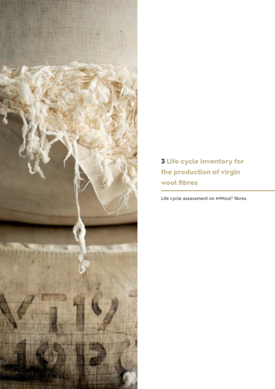

3 Life cycle inventory for the production of virgin wool fibres

**Life cycle assessment on MWool® fibres**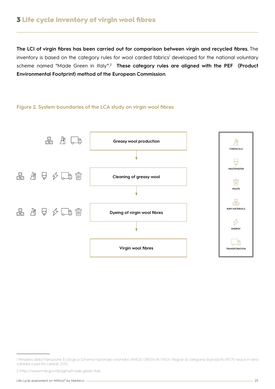# 3 Life cycle inventory of virgin wool fibres

**The LCI of virgin fibres has been carried out for comparison between virgin and recycled fibres.** The inventory is based on the category rules for wool carded fabrics<sup>1</sup> developed for the national voluntary scheme named "Made Green in Italy".<sup>2</sup> These category rules are aligned with the PEF (Product **Environmental Footprint) method of the European Commission**.

### **Figure 2. System boundaries of the LCA study on virgin wool fibres**



<sup>1</sup> Ministero della Transizione Ecologica Schema nazionale volontario «MADE GREEN IN ITALY». Regole di categoria di prodotto (RCP): tessuti in lana cardata o peli fini cardati; 2015;

<sup>2</sup> https://www.mite.gov.it/pagina/made-green-italy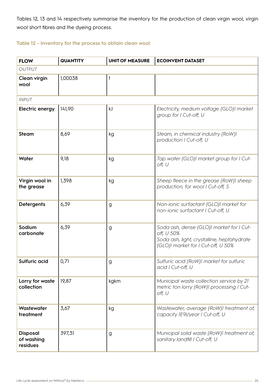Tables 12, 13 and 14 respectively summarise the inventory for the production of clean virgin wool, virgin wool short fibres and the dyeing process.

### **Table 12 - Inventory for the process to obtain clean wool**

| <b>FLOW</b>                               | <b>QUANTITY</b> | <b>UNIT OF MEASURE</b> | <b>ECOINVENT DATASET</b>                                                                                                                   |
|-------------------------------------------|-----------------|------------------------|--------------------------------------------------------------------------------------------------------------------------------------------|
| <b>OUTPUT</b>                             |                 |                        |                                                                                                                                            |
| Clean virgin<br>wool                      | 1,00038         | t                      |                                                                                                                                            |
| <b>INPUT</b>                              |                 |                        |                                                                                                                                            |
| <b>Electric energy</b>                    | 141,90          | kJ                     | Electricity, medium voltage {GLO}I market<br>group for I Cut-off, U                                                                        |
| <b>Steam</b>                              | 8,69            | kg                     | Steam, in chemical industry {RoW} <br>production I Cut-off, U                                                                              |
| Water                                     | 9,18            | kg                     | Tap water {GLO}I market group for I Cut-<br>off, U                                                                                         |
| Virgin wool in<br>the grease              | 1,398           | kg                     | Sheep fleece in the grease {RoW}I sheep<br>production, for wool I Cut-off, S                                                               |
| <b>Detergents</b>                         | 6,39            | g                      | Non-ionic surfactant {GLO}I market for<br>non-ionic surfactant I Cut-off, U                                                                |
| Sodium<br>carbonate                       | 6,39            | g                      | Soda ash, dense {GLO}I market for I Cut-<br>off, U 50%<br>Soda ash, light, crystalline, heptahydrate<br>{GLO}I market for I Cut-off, U 50% |
| Sulfuric acid                             | 0,71            | g                      | Sulfuric acid {RoW}I market for sulfuric<br>acid   Cut-off, U                                                                              |
| Lorry for waste<br>collection             | 19,87           | kgkm                   | Municipal waste collection service by 21<br>metric ton lorry {RoW}  processing   Cut-<br>off, U                                            |
| Wastewater<br>treatment                   | 3,67            | kg                     | Wastewater, average {RoW}I treatment of,<br>capacity IE9I/year I Cut-off, U                                                                |
| <b>Disposal</b><br>of washing<br>residues | 397,31          | g                      | Municipal solid waste {RoW}I treatment of,<br>sanitary landfill I Cut-off, U                                                               |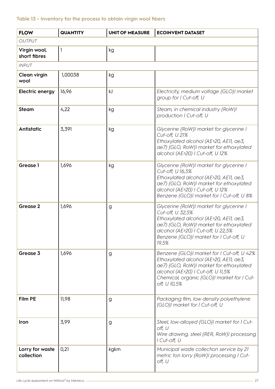# **Table 13 - Inventory for the process to obtain virgin wool fibers**

| <b>FLOW</b>                   | <b>QUANTITY</b> | <b>UNIT OF MEASURE</b> | <b>ECOINVENT DATASET</b>                                                                                                                                                                                                                  |
|-------------------------------|-----------------|------------------------|-------------------------------------------------------------------------------------------------------------------------------------------------------------------------------------------------------------------------------------------|
| <b>OUTPUT</b>                 |                 |                        |                                                                                                                                                                                                                                           |
| Virgin wool,<br>short fibres  | $\mathbf{I}$    | kg                     |                                                                                                                                                                                                                                           |
| <b>INPUT</b>                  |                 |                        |                                                                                                                                                                                                                                           |
| Clean virgin<br>wool          | 1,00038         | kg                     |                                                                                                                                                                                                                                           |
| <b>Electric energy</b>        | 16,96           | kJ                     | Electricity, medium voltage {GLO}I market<br>group for I Cut-off, U                                                                                                                                                                       |
| <b>Steam</b>                  | 4,22            | kg                     | Steam, in chemical industry {RoW} <br>production I Cut-off, U                                                                                                                                                                             |
| Antistatic                    | 3,391           | kg                     | Glycerine {RoW}I market for glycerine I<br>Cut-off, U 21%<br>Ethoxylated alcohol (AE>20, AE11, ae3,<br>ae7) {GLO, RoW}I market for ethoxylated<br>alcohol (AE>20)   Cut-off, U 12%                                                        |
| <b>Grease 1</b>               | 1,696           | kg                     | Glycerine {RoW}I market for glycerine I<br>Cut-off, U 16,5%<br>Ethoxylated alcohol (AE>20, AE11, ae3,<br>ae7) {GLO, RoW}I market for ethoxylated<br>alcohol (AE>20) I Cut-off, U 12%<br>Benzene {GLO}I market for I Cut-off, U 8%         |
| Grease 2                      | 1,696           | g                      | Glycerine {RoW}I market for glycerine I<br>Cut-off, U 32,5%<br>Ethoxylated alcohol (AE>20, AE11, ae3,<br>ae7) {GLO, RoW}I market for ethoxylated<br>alcohol (AE>20)   Cut-off, U 22,5%<br>Benzene {GLO}  market for I Cut-off, U<br>19,5% |
| Grease 3                      | 1,696           | g                      | Benzene {GLO}I market for I Cut-off, U 42%<br>Ethoxylated alcohol (AE>20, AE11, ae3,<br>ae7) {GLO, RoW}I market for ethoxylated<br>alcohol (AE>20)   Cut-off, U 11,5%<br>Chemical, organic {GLO}  market for   Cut-<br>off, U 10,5%       |
| <b>Film PE</b>                | 11,98           | g                      | Packaging film, low density polyethylene<br>{GLO}I market for I Cut-off, U                                                                                                                                                                |
| Iron                          | 3,99            | g                      | Steel, low-alloyed {GLO}I market for I Cut-<br>off, U<br>Wire drawing, steel {RER, RoW}I processing<br>I Cut-off, U                                                                                                                       |
| Lorry for waste<br>collection | 0,21            | kgkm                   | Municipal waste collection service by 21<br>metric ton lorry {RoW}  processing   Cut-<br>off, U                                                                                                                                           |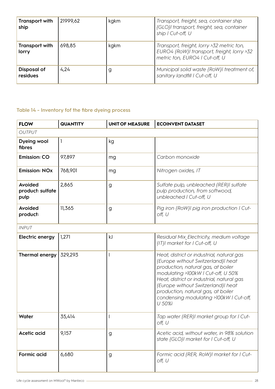| <b>Transport with</b><br>ship | 21999,62 | kgkm | Transport, freight, sea, container ship<br>{GLO}I transport, freight, sea, container<br>ship I Cut-off, U                 |
|-------------------------------|----------|------|---------------------------------------------------------------------------------------------------------------------------|
| Transport with<br>lorry       | 698,85   | kgkm | Transport, freight, lorry >32 metric ton,<br>EURO4 {RoW}I transport, freight, lorry >32<br>metric ton, EURO4   Cut-off, U |
| Disposal of<br>residues       | 4,24     | g    | Municipal solid waste {RoW}I treatment of,<br>sanitary landfill   Cut-off, U                                              |

# **Table 14 - Inventory fof the fibre dyeing process**

| <b>FLOW</b>                         | <b>QUANTITY</b> | <b>UNIT OF MEASURE</b> | <b>ECOINVENT DATASET</b>                                                                                                                                                                                                                                                                                                                  |  |  |  |
|-------------------------------------|-----------------|------------------------|-------------------------------------------------------------------------------------------------------------------------------------------------------------------------------------------------------------------------------------------------------------------------------------------------------------------------------------------|--|--|--|
| <b>OUTPUT</b>                       |                 |                        |                                                                                                                                                                                                                                                                                                                                           |  |  |  |
| Dyeing wool<br>fibres               | 1               | kg                     |                                                                                                                                                                                                                                                                                                                                           |  |  |  |
| <b>Emission: CO</b>                 | 97,897          | mg                     | Carbon monoxide                                                                                                                                                                                                                                                                                                                           |  |  |  |
| <b>Emission: NOx</b>                | 768,901         | mg                     | Nitrogen oxides, IT                                                                                                                                                                                                                                                                                                                       |  |  |  |
| Avoided<br>product: sulfate<br>pulp | 2,865           | g                      | Sulfate pulp, unbleached {RER}  sulfate<br>pulp production, from softwood,<br>unbleached   Cut-off, U                                                                                                                                                                                                                                     |  |  |  |
| Avoided<br>product:                 | 11,365          | g                      | Pig iron {RoW}I pig iron production I Cut-<br>off, U                                                                                                                                                                                                                                                                                      |  |  |  |
| <b>INPUT</b>                        |                 |                        |                                                                                                                                                                                                                                                                                                                                           |  |  |  |
| <b>Electric energy</b>              | 1,271           | kJ                     | Residual Mix Electricity, medium voltage<br>{IT}I market for I Cut-off, U                                                                                                                                                                                                                                                                 |  |  |  |
| Thermal energy                      | 329,293         |                        | Heat, district or industrial, natural gas<br>{Europe without Switzerland}  heat<br>production, natural gas, at boiler<br>modulating >100kW   Cut-off, U 50%<br>Heat, district or industrial, natural gas<br>{Europe without Switzerland}  heat<br>production, natural gas, at boiler<br>condensing modulating >100kW   Cut-off,<br>U 50%ì |  |  |  |
| Water                               | 35,414          |                        | Tap water {RER}  market group for I Cut-<br>off, U                                                                                                                                                                                                                                                                                        |  |  |  |
| Acetic acid                         | 9,157           | g                      | Acetic acid, without water, in 98% solution<br>state {GLO}I market for I Cut-off, U                                                                                                                                                                                                                                                       |  |  |  |
| <b>Formic acid</b>                  | 6,680           | g                      | Formic acid {RER, RoW}I market for I Cut-<br>off, U                                                                                                                                                                                                                                                                                       |  |  |  |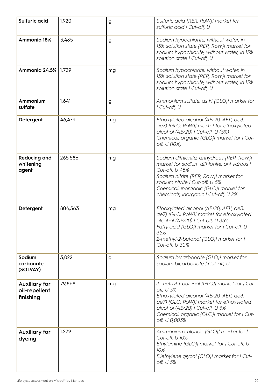| Sulfuric acid                                      | 1,920   | g  | Sulfuric acid {RER, RoW}I market for<br>sulfuric acid   Cut-off, U                                                                                                                                                                                                  |
|----------------------------------------------------|---------|----|---------------------------------------------------------------------------------------------------------------------------------------------------------------------------------------------------------------------------------------------------------------------|
| Ammonia 18%                                        | 3,485   | g  | Sodium hypochlorite, without water, in<br>15% solution state {RER, RoW}I market for<br>sodium hypochlorite, without water, in 15%<br>solution state I Cut-off, U                                                                                                    |
| Ammonia 24.5%                                      | 1,729   | mg | Sodium hypochlorite, without water, in<br>15% solution state {RER, RoW}I market for<br>sodium hypochlorite, without water, in 15%<br>solution state I Cut-off, U                                                                                                    |
| Ammonium<br>sulfate                                | 1,641   | g  | Ammonium sulfate, as N {GLO}I market for<br>I Cut-off, U                                                                                                                                                                                                            |
| Detergent                                          | 46,479  | mg | Ethoxylated alcohol (AE>20, AE11, ae3,<br>ae7) {GLO, RoW}I market for ethoxylated<br>alcohol (AE>20)   Cut-off, U (5%)<br>Chemical, organic {GLO}I market for I Cut-<br>off, U (10%)                                                                                |
| <b>Reducing and</b><br>whitening<br>agent          | 265,586 | mg | Sodium dithionite, anhydrous {RER, RoW} <br>market for sodium dithionite, anhydrous I<br>Cut-off, U 45%<br>Sodium nitrite {RER, RoW}I market for<br>sodium nitrite I Cut-off, U 5%<br>Chemical, inorganic {GLO}I market for<br>chemicals, inorganic I Cut-off, U 2% |
| Detergent                                          | 804,563 | mg | Ethoxylated alcohol (AE>20, AE11, ae3,<br>ae7) {GLO, RoW}I market for ethoxylated<br>alcohol (AE>20)   Cut-off, U 35%<br>Fatty acid {GLO}I market for I Cut-off, U<br>35%<br>2-methyl-2-butanol {GLO}I market for I<br>Cut-off, U 30%                               |
| Sodium<br>carbonate<br>(SOLVAY)                    | 3,022   | g  | Sodium bicarbonate {GLO}  market for<br>sodium bicarbonate I Cut-off, U                                                                                                                                                                                             |
| <b>Auxiliary for</b><br>oil-repellent<br>finishing | 79,868  | mg | 3-methyl-1-butanol {GLO}  market for   Cut-<br>off, U 3%<br>Ethoxylated alcohol (AE>20, AE11, ae3,<br>ae7) {GLO, RoW}I market for ethoxylated<br>alcohol (AE>20)   Cut-off, U 3%<br>Chemical, organic {GLO}I market for I Cut-<br>off, U 0,003%                     |
| <b>Auxiliary for</b><br>dyeing                     | 1,279   | g  | Ammonium chloride {GLO}I market for I<br>Cut-off, U 10%<br>Ethylamine {GLO}I market for I Cut-off, U<br>10%<br>Diethylene glycol {GLO}I market for I Cut-<br>off, U 5%                                                                                              |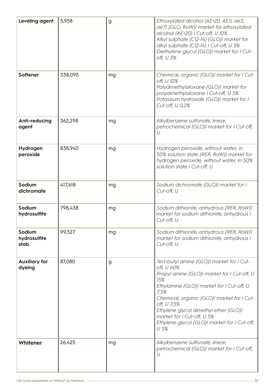| Leveling agent                  | 5,958   | g  | Ethoxylated alcohol (AE>20, AE11, ae3,<br>ae7) {GLO, RoW}I market for ethoxylated<br>alcohol (AE>20)   Cut-off, U 10%<br>Alkyl sulphate (C12-14) {GLO}I market for<br>alkyl sulphate (C12-14)   Cut-off, U 5%<br>Diethylene glycol {GLO}I market for I Cut-<br>off, U 3%                                                                                       |
|---------------------------------|---------|----|----------------------------------------------------------------------------------------------------------------------------------------------------------------------------------------------------------------------------------------------------------------------------------------------------------------------------------------------------------------|
| Softener                        | 338,095 | mg | Chemical, organic {GLO}  market for   Cut-<br>off, U 10%<br>Polydimethylsiloxane {GLO}  market for<br>polydimethylsiloxane   Cut-off, U 5%<br>Potassium hydroxide {GLO}I market for I<br>Cut-off, U 0,2%                                                                                                                                                       |
| Anti-reducing<br>agent          | 362,298 | mg | Alkylbenzene sulfonate, linear,<br>petrochemical {GLO}I market for I Cut-off,<br>U                                                                                                                                                                                                                                                                             |
| Hydrogen<br>peroxide            | 838,940 | mg | Hydrogen peroxide, without water, in<br>50% solution state {RER, RoW}I market for<br>hydrogen peroxide, without water, in 50%<br>solution state I Cut-off, U                                                                                                                                                                                                   |
| Sodium<br>dichromate            | 417,618 | mg | Sodium dichromate {GLO}I market for I<br>Cut-off, U                                                                                                                                                                                                                                                                                                            |
| Sodium<br>hydrosulfite          | 798,438 | mg | Sodium dithionite, anhydrous {RER, RoW} <br>market for sodium dithionite, anhydrous I<br>Cut-off, U                                                                                                                                                                                                                                                            |
| Sodium<br>hydrosulfite<br>stab. | 99,527  | mg | Sodium dithionite, anhydrous {RER, RoW} <br>market for sodium dithionite, anhydrous I<br>Cut-off, U                                                                                                                                                                                                                                                            |
| <b>Auxiliary for</b><br>dyeing  | 87,080  | g  | Tert-butyl amine {GLO}  market for   Cut-<br>off, U 60%<br>Propyl amine {GLO}I market for I Cut-off, U<br>15%<br>Ethylamine {GLO}I market for I Cut-off, U<br>7,5%<br>Chemical, organic {GLO}  market for   Cut-<br>off, U 7,5%<br>Ethylene glycol dimethyl ether {GLO}I<br>market for I Cut-off, U 5%<br>Ethylene glycol {GLO}I market for I Cut-off,<br>U 5% |
| Whitener                        | 26,425  | mg | Alkylbenzene sulfonate, linear,<br>petrochemical {GLO}I market for I Cut-off,<br>U                                                                                                                                                                                                                                                                             |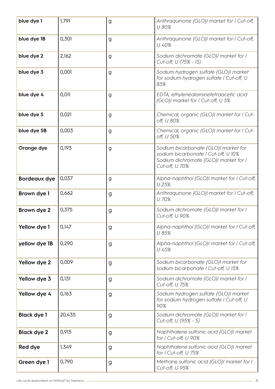| blue dye 1         | 1,791  | g            | Anthraquinone {GLO}I market for I Cut-off,<br>U 80%                                                                                    |
|--------------------|--------|--------------|----------------------------------------------------------------------------------------------------------------------------------------|
| blue dye 1B        | 0,301  | g            | Anthraquinone {GLO}I market for I Cut-off,<br>U 40%                                                                                    |
| blue dye 2         | 2,162  | g            | Sodium dichromate {GLO}  market for  <br>Cut-off, U (75% - 15)                                                                         |
| blue dye 3         | 0,001  | g            | Sodium hydrogen sulfate {GLO}  market<br>for sodium hydrogen sulfate I Cut-off, U<br>85%                                               |
| blue dye 4         | 0,011  | g            | EDTA, ethylenediaminetetraacetic acid<br>{GLO}I market for I Cut-off, U 5%                                                             |
| blue dye 5         | 0,021  | g            | Chemical, organic {GLO}  market for   Cut-<br>off, U 80%                                                                               |
| blue dye 5B        | 0,003  | g            | Chemical, organic {GLO}I market for I Cut-<br>off, U 50%                                                                               |
| Orange dye         | 0,193  | g            | Sodium bicarbonate {GLO}I market for<br>sodium bicarbonate   Cut-off, U 10%<br>Sodium dichromate {GLO}I market for I<br>Cut-off, U 70% |
| Bordeaux dye       | 0,037  | g            | Alpha-naphthol {GLO}  market for I Cut-off,<br>U 25%                                                                                   |
| Brown dye 1        | 0,662  | g            | Anthraquinone {GLO}I market for I Cut-off,<br>U 70%                                                                                    |
| Brown dye 2        | 0,375  | g            | Sodium dichromate {GLO}  market for  <br>Cut-off, U 90%                                                                                |
| Yellow dye 1       | 0,147  | $\mathsf{g}$ | Alpha-naphthol {GLO}  market for   Cut-off,<br>U 85%                                                                                   |
| yellow dye 1B      | 0,290  | g            | Alpha-naphthol {GLO}I market for I Cut-off,<br>U 45%                                                                                   |
| Yellow dye 2       | 0,009  | g            | Sodium bicarbonate {GLO}I market for<br>sodium bicarbonate   Cut-off, U 15%                                                            |
| Yellow dye 3       | 0,131  | g            | Sodium dichromate {GLO}I market for I<br>Cut-off, U 75%                                                                                |
| Yellow dye 4       | 0,163  | g            | Sodium hydrogen sulfate {GLO}  market<br>for sodium hydrogen sulfate I Cut-off, U<br>90%                                               |
| <b>Black dye 1</b> | 20,435 | g            | Sodium dichromate {GLO}I market for I<br>Cut-off, U (95% - 5)                                                                          |
| <b>Black dye 2</b> | 0,915  | g            | Naphthalene sulfonic acid {GLO}  market<br>for I Cut-off, U 90%                                                                        |
| Red dye            | 1,349  | g            | Naphthalene sulfonic acid {GLO}I market<br>for I Cut-off, U 75%                                                                        |
| Green dye 1        | 0,790  | g            | Methane sulfonic acid {GLO}I market for I<br>Cut-off, U 95%                                                                            |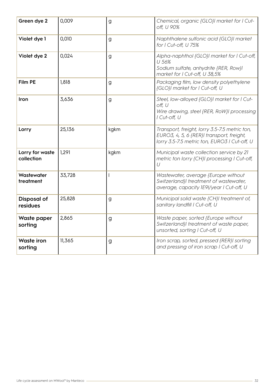| Green dye 2                    | 0,009  | g                        | Chemical, organic {GLO}I market for I Cut-<br>off, U 90%                                                                                   |
|--------------------------------|--------|--------------------------|--------------------------------------------------------------------------------------------------------------------------------------------|
| Violet dye 1                   | 0,010  | g                        | Naphthalene sulfonic acid {GLO}I market<br>for I Cut-off, U 75%                                                                            |
| Violet dye 2                   | 0,024  | g                        | Alpha-naphthol {GLO}I market for I Cut-off,<br>U 56%<br>Sodium sulfate, anhydrite {RER, Row}l<br>market for I Cut-off, U 38,5%             |
| Film PE                        | 1,818  | g                        | Packaging film, low density polyethylene<br>{GLO}I market for I Cut-off, U                                                                 |
| Iron                           | 3,636  | g                        | Steel, low-alloyed {GLO}I market for I Cut-<br>off, U<br>Wire drawing, steel {RER, RoW}I processing<br>I Cut-off, U                        |
| Lorry                          | 25,136 | kgkm                     | Transport, freight, lorry 3.5-7.5 metric ton,<br>EURO3, 4, 5, 6 {RER}  transport, freight,<br>lorry 3.5-7.5 metric ton, EURO3 I Cut-off, U |
| Lorry for waste<br>collection  | 1,291  | kgkm                     | Municipal waste collection service by 21<br>metric ton lorry {CH}  processing   Cut-off,<br>U                                              |
| Wastewater<br>treatment        | 33,728 | $\overline{\phantom{a}}$ | Wastewater, average {Europe without<br>Switzerland}I treatment of wastewater,<br>average, capacity IE9I/year I Cut-off, U                  |
| <b>Disposal of</b><br>residues | 25,828 | g                        | Municipal solid waste {CH}I treatment of,<br>sanitary landfill   Cut-off, U                                                                |
| Waste paper<br>sorting         | 2,865  | $\mathsf{g}$             | Waste paper, sorted {Europe without<br>Switzerland}I treatment of waste paper,<br>unsorted, sorting I Cut-off, U                           |
| <b>Waste iron</b><br>sorting   | 11,365 | $\mathsf{g}$             | Iron scrap, sorted, pressed {RER}I sorting<br>and pressing of iron scrap I Cut-off, U                                                      |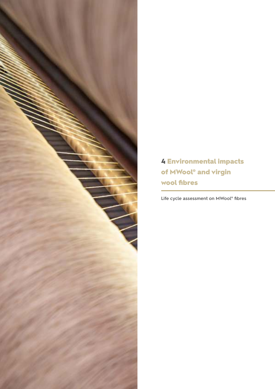

4 Environmental impacts of MWool® and virgin wool fibres

**Life cycle assessment on MWool® fibres**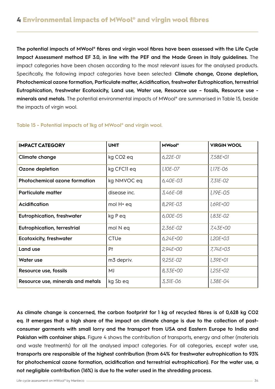**The potential impacts of MWool® fibres and virgin wool fibres have been assessed with the Life Cycle Impact Assessment method EF 3.0, in line with the PEF and the Made Green in Italy guidelines.** The impact categories have been chosen according to the most relevant issues for the analysed products. Specifically, the following impact categories have been selected: **Climate change, Ozone depletion, Photochemical ozone formation, Particulate matter, Acidification, freshwater Eutrophication, terrestrial Eutrophication, freshwater Ecotoxicity, Land use, Water use, Resource use – fossils, Resource use minerals and metals.** The potential environmental impacts of MWool® are summarised in Table 15, beside the impacts of virgin wool.

| <b>IMPACT CATEGORY</b>               | <b>UNIT</b>           | <b>MWool</b> <sup>®</sup> | <b>VIRGIN WOOL</b> |
|--------------------------------------|-----------------------|---------------------------|--------------------|
| <b>Climate change</b>                | kg CO <sub>2</sub> eq | $6,22E-01$                | 7,58E+01           |
| Ozone depletion                      | kg CFCII eq           | 1,10E-07                  | 1,17E-06           |
| <b>Photochemical ozone formation</b> | kg NMVOC eq           | 6,40E-03                  | 7,31E-02           |
| <b>Particulate matter</b>            | disease inc.          | 3,46E-08                  | 1,19E-05           |
| Acidification                        | mol H+ eq             | 8,29E-03                  | 1,69E+00           |
| <b>Eutrophication, freshwater</b>    | kg P eq               | 6,00E-05                  | 1,83E-02           |
| <b>Eutrophication, terrestrial</b>   | mol N eq              | 2,36E-02                  | 7,43E+00           |
| <b>Ecotoxicity, freshwater</b>       | <b>CTUe</b>           | $6,24E + 00$              | 1,20E+03           |
| Land use                             | Pt                    | 2,94E+00                  | 7,74E+03           |
| Water use                            | m3 depriv.            | $9,25E-02$                | 1,39E+01           |
| Resource use, fossils                | MJ                    | 8,33E+00                  | 1,25E+02           |
| Resource use, minerals and metals    | kg Sb eq              | 3,31E-06                  | 1,38E-04           |

### **Table 15 - Potential impacts of 1kg of MWool® and virgin wool.**

**As climate change is concerned, the carbon footprint for 1 kg of recycled fibres is of 0,628 kg CO2 eq. It emerges that a high share of the impact on climate change is due to the collection of postconsumer garments with small lorry and the transport from USA and Eastern Europe to India and**  Pakistan with container ships. Figure 4 shows the contribution of transports, energy and other (materials and waste treatments) for all the analysed impact categories. For all categories, except water use, **transports are responsible of the highest contribution (from 64% for freshwater eutrophication to 93% for photochemical ozone formation, acidification and terrestrial eutrophication). For the water use, a not negligible contribution (16%) is due to the water used in the shredding process.**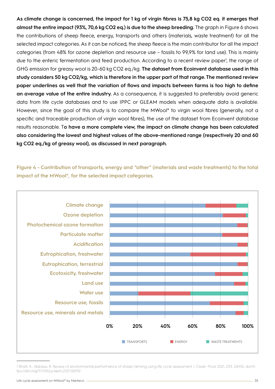**As climate change is concerned, the impact for 1 kg of virgin fibres is 75,8 kg CO2 eq. it emerges that almost the entire impact (93%, 70,6 kg CO2 eq.) is due to the sheep breeding.** The graph in Figure 6 shows the contributions of sheep fleece, energy, transports and others (materials, waste treatment) for all the selected impact categories. As it can be noticed, the sheep fleece is the main contributor for all the impact categories (from 48% for ozone depletion and resource use – fossils to 99,9% for land use). This is mainly due to the enteric fermentation and feed production. According to a recent review paper<sup>1</sup>, the range of GHG emission for greasy wool is 20-60 kg CO2 eq./kg. **The dataset from Ecoinvent database used in this study considers 50 kg CO2/kg, which is therefore in the upper part of that range. The mentioned review paper underlines as well that the variation of flows and impacts between farms is too high to define an average value of the entire industry.** As a consequence, it is suggested to preferably avoid generic data from life cycle databases and to use IPPC or GLEAM models when adequate data is available. However, since the goal of this study is to compare the MWool® to virgin wool fibres (generally, not a specific and traceable production of virgin wool fibres), the use of the dataset from Ecoinvent database results reasonable. T**o have a more complete view, the impact on climate change has been calculated also considering the lowest and highest values of the above-mentioned range (respectively 20 and 60 kg CO2 eq./kg of greasy wool), as discussed in next paragraph.** 

**Figure 4 - Contribution of transports, energy and "other" (materials and waste treatments) to the total impact of the MWool®, for the selected impact categories.**



<sup>1</sup> Bhatt, A.; Abbassi, B. Review of environmental performance of sheep farming using life cycle assessment. J. Clean. Prod. 2021, 293, 126192, doi:https://doi.org/10.1016/j.jclepro.2021.126192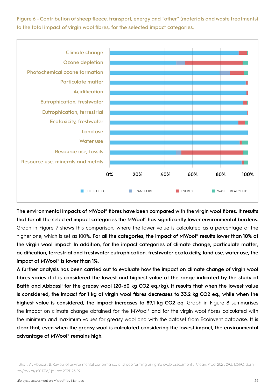**Figure 6 - Contribution of sheep fleece, transport, energy and "other" (materials and waste treatments) to the total impact of virgin wool fibres, for the selected impact categories.**



**The environmental impacts of MWool® fibres have been compared with the virgin wool fibres. It results that for all the selected impact categories the MWool® has significantly lower environmental burdens.**  Graph in Figure 7 shows this comparison, where the lower value is calculated as a percentage of the higher one, which is set as 100%. **For all the categories, the impact of MWool® results lower than 10% of the virgin wool impact. In addition, for the impact categories of climate change, particulate matter, acidification, terrestrial and freshwater eutrophication, freshwater ecotoxicity, land use, water use, the impact of MWool® is lower than 1%.**

**A further analysis has been carried out to evaluate how the impact on climate change of virgin wool fibres varies if it is considered the lowest and highest value of the range indicated by the study of**  Batth and Abbassi<sup>1</sup> for the greasy wool (20-60 kg CO2 eq./kg). It results that when the lowest value **is considered, the impact for 1 kg of virgin wool fibres decreases to 33,2 kg CO2 eq., while when the highest value is considered, the impact increases to 89,1 kg CO2 eq.** Graph in Figure 8 summarises the impact on climate change obtained for the MWool® and for the virgin wool fibres calculated with the minimum and maximum values for greasy wool and with the dataset from Ecoinvent database. **It is clear that, even when the greasy wool is calculated considering the lowest impact, the environmental advantage of MWool® remains high.**

<sup>1</sup> Bhatt, A.; Abbassi, B. Review of environmental performance of sheep farming using life cycle assessment. J. Clean. Prod. 2021, 293, 126192, doi:https://doi.org/10.1016/j.jclepro.2021.126192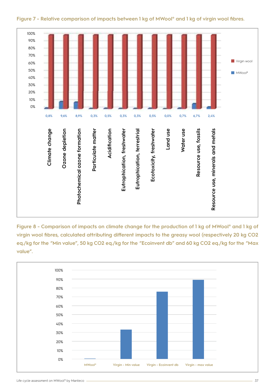

**Figure 7 - Relative comparison of impacts between 1 kg of MWool® and 1 kg of virgin wool fibres.**

**Figure 8 - Comparison of impacts on climate change for the production of 1 kg of MWool® and 1 kg of virgin wool fibres, calculated attributing different impacts to the greasy wool (respectively 20 kg CO2 eq./kg for the "Min value", 50 kg CO2 eq./kg for the "Ecoinvent db" and 60 kg CO2 eq./kg for the "Max value".** 

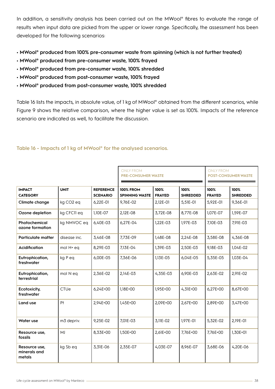In addition, a sensitivity analysis has been carried out on the MWool® fibres to evaluate the range of results when input data are picked from the upper or lower range. Specifically, the assessment has been developed for the following scenarios:

- **MWool® produced from 100% pre-consumer waste from spinning (which is not further treated)**
- **MWool® produced from pre-consumer waste, 100% frayed**
- **MWool® produced from pre-consumer waste, 100% shredded**
- **MWool® produced from post-consumer waste, 100% frayed**
- **MWool® produced from post-consumer waste, 100% shredded**

Table 16 lists the impacts, in absolute value, of 1 kg of MWool® obtained from the different scenarios, while Figure 9 shows the relative comparison, where the higher value is set as 100%. Impacts of the reference scenario are indicated as well, to facilitate the discussion.

|                                         |                       |                                     | <b>ONLY FROM</b><br><b>PRE-CONSUMER WASTE</b> |                       |                         | <b>ONLY FROM</b><br><b>POST-CONSUMER WASTE</b> |                         |
|-----------------------------------------|-----------------------|-------------------------------------|-----------------------------------------------|-----------------------|-------------------------|------------------------------------------------|-------------------------|
| <b>IMPACT</b><br><b>CATEGORY</b>        | <b>UNIT</b>           | <b>REFERENCE</b><br><b>SCENARIO</b> | <b>100% FROM</b><br><b>SPINNING WASTE</b>     | 100%<br><b>FRAYED</b> | 100%<br><b>SHREDDED</b> | 100%<br><b>FRAYED</b>                          | 100%<br><b>SHREDDED</b> |
| Climate change                          | kg CO <sub>2</sub> eq | 6,22E-01                            | 9,76E-02                                      | 2.12E-01              | 5,51E-01                | 5,92E-01                                       | 9,36E-01                |
| Ozone depletion                         | kg CFCII eq           | 1,10E-07                            | 2,12E-08                                      | 3,72E-08              | 8,77E-08                | 1,07E-07                                       | 1,59E-07                |
| Photochemical<br>ozone formation        | kg NMVOC eq           | 6,40E-03                            | 6,27E-04                                      | 1,22E-03              | 1,97E-03                | 7,10E-03                                       | 7,91E-03                |
| <b>Particulate matter</b>               | disease inc.          | 3,46E-08                            | 7,73E-09                                      | 1,48E-08              | 2,24E-08                | 3,58E-08                                       | 4,36E-08                |
| Acidification                           | mol H+ eq             | 8,29E-03                            | 7,13E-04                                      | 1,39E-03              | 2,50E-03                | 9.18E-03                                       | 1.04E-02                |
| Eutrophication,<br>freshwater           | kg Peq                | 6,00E-05                            | 7,36E-06                                      | 1.13E-05              | 6,04E-05                | 5,35E-05                                       | 1.03E-04                |
| Eutrophication,<br>terrestrial          | mol N eq              | 2,36E-02                            | 2,14E-03                                      | 4,35E-03              | 6,90E-03                | 2,63E-02                                       | 2,91E-02                |
| Ecotoxicity,<br>freshwater              | CTUe                  | $6,24E+00$                          | 1,18E+00                                      | 1,95E+00              | $4,31E+00$              | $6,27E+00$                                     | 8,67E+00                |
| Land use                                | Pt                    | 2,94E+00                            | 1,45E+00                                      | 2,09E+00              | 2,67E+00                | 2,89E+00                                       | 3,47E+00                |
| Water use                               | m3 depriv.            | 9,25E-02                            | 7,01E-03                                      | 3,11E-02              | 1,97E-01                | 5,32E-02                                       | 2,19E-01                |
| Resource use,<br>fossils                | MJ                    | 8,33E+00                            | 1,50E+00                                      | 2,61E+00              | 7,76E+00                | 7,76E+00                                       | 1,30E+01                |
| Resource use,<br>minerals and<br>metals | kg Sb eq              | 3,31E-06                            | 2,35E-07                                      | 4,03E-07              | 8,96E-07                | 3,68E-06                                       | 4,20E-06                |

### **Table 16 - Impacts of 1 kg of MWool® for the analysed scenarios.**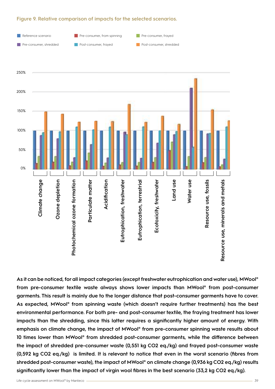### **Figure 9. Relative comparison of impacts for the selected scenarios.**





**As it can be noticed, for all impact categories (except freshwater eutrophication and water use), MWool® from pre-consumer textile waste always shows lower impacts than MWool® from post-consumer garments. This result is mainly due to the longer distance that post-consumer garments have to cover. As expected, MWool® from spinning waste (which doesn't require further treatments) has the best environmental performance. For both pre- and post-consumer textile, the fraying treatment has lower impacts than the shredding, since this latter requires a significantly higher amount of energy. With emphasis on climate change, the impact of MWool® from pre-consumer spinning waste results about 10 times lower than MWool® from shredded post-consumer garments, while the difference between the impact of shredded pre-consumer waste (0,551 kg CO2 eq./kg) and frayed post-consumer waste (0,592 kg CO2 eq./kg) is limited. It is relevant to notice that even in the worst scenario (fibres from shredded post-consumer waste), the impact of MWool® on climate change (0,936 kg CO2 eq./kg) results significantly lower than the impact of virgin wool fibres in the best scenario (33,2 kg CO2 eq./kg).**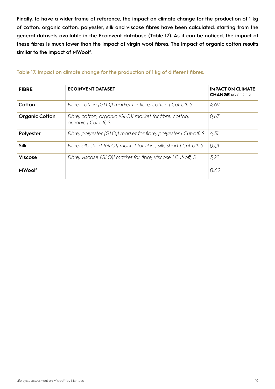**Finally, to have a wider frame of reference, the impact on climate change for the production of 1 kg of cotton, organic cotton, polyester, silk and viscose fibres have been calculated, starting from the general datasets available in the Ecoinvent database (Table 17). As it can be noticed, the impact of these fibres is much lower than the impact of virgin wool fibres. The impact of organic cotton results similar to the impact of MWool®.** 

| <b>FIBRE</b>          | <b>ECOINVENT DATASET</b>                                                        | <b>IMPACT ON CLIMATE</b><br><b>CHANGE</b> KG CO <sub>2</sub> EQ |  |
|-----------------------|---------------------------------------------------------------------------------|-----------------------------------------------------------------|--|
| Cotton                | Fibre, cotton {GLO}  market for fibre, cotton   Cut-off, S                      | 4,69                                                            |  |
| <b>Organic Cotton</b> | Fibre, cotton, organic {GLO}  market for fibre, cotton,<br>organic I Cut-off, S | 0,67                                                            |  |
| Polyester             | Fibre, polyester {GLO}  market for fibre, polyester   Cut-off, S                | 4,31                                                            |  |
| <b>Silk</b>           | Fibre, silk, short {GLO}  market for fibre, silk, short   Cut-off, S            | 0,01                                                            |  |
| <b>Viscose</b>        | Fibre, viscose {GLO}I market for fibre, viscose I Cut-off, S                    | 3,22                                                            |  |
| <b>MWool®</b>         |                                                                                 | 0,62                                                            |  |

### **Table 17. Impact on climate change for the production of 1 kg of different fibres.**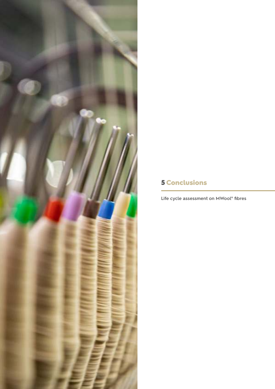# 5 Conclusions

**Life cycle assessment on MWool® fibres**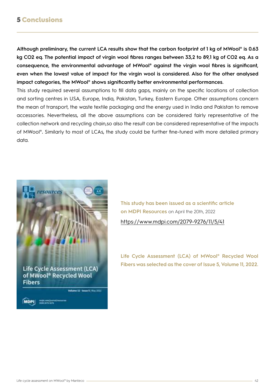# 5 Conclusions

**Although preliminary, the current LCA results show that the carbon footprint of 1 kg of MWool® is 0.63 kg CO2 eq. The potential impact of virgin wool fibres ranges between 33,2 to 89,1 kg of CO2 eq. As a consequence, the environmental advantage of MWool® against the virgin wool fibres is significant, even when the lowest value of impact for the virgin wool is considered. Also for the other analysed impact categories, the MWool® shows significantly better environmental performances.**

This study required several assumptions to fill data gaps, mainly on the specific locations of collection and sorting centres in USA, Europe, India, Pakistan, Turkey, Eastern Europe. Other assumptions concern the mean of transport, the waste textile packaging and the energy used in India and Pakistan to remove accessories. Nevertheless, all the above assumptions can be considered fairly representative of the collection network and recycling chain,so also the result can be considered representative of the impacts of MWool®**.** Similarly to most of LCAs, the study could be further fine-tuned with more detailed primary data.



**This study has been issued as a scientific article on MDPI Resources** on April the 20th, 2022 <https://www.mdpi.com/2079-9276/11/5/41>

**Life Cycle Assessment (LCA) of MWool® Recycled Wool Fibers was selected as the cover of Issue 5, Volume 11, 2022.**